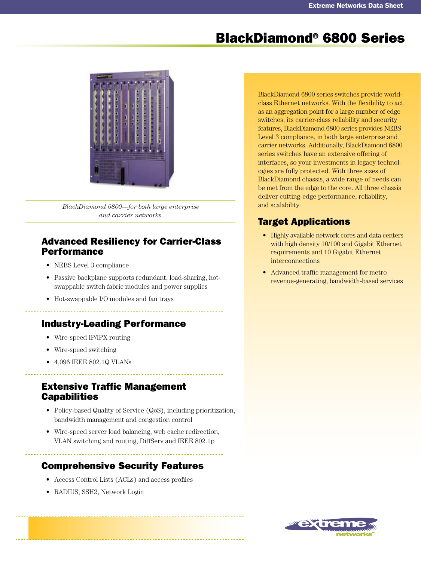# BlackDiamond® 6800 Series



*BlackDiamond 6800—for both large enterprise and carrier networks.*

### Advanced Resiliency for Carrier-Class Performance

- NEBS Level 3 compliance
- Passive backplane supports redundant, load-sharing, hotswappable switch fabric modules and power supplies
- Hot-swappable I/O modules and fan trays

# Industry-Leading Performance

- Wire-speed IP/IPX routing
- Wire-speed switching •
- 4,096 IEEE 802.1Q VLANs •

### Extensive Traffic Management **Capabilities**

- Policy-based Quality of Service (QoS), including prioritization, bandwidth management and congestion control
- Wire-speed server load balancing, web cache redirection, VLAN switching and routing, DiffServ and IEEE 802.1p

# Comprehensive Security Features

- Access Control Lists (ACLs) and access profiles •
- RADIUS, SSH2, Network Login

BlackDiamond 6800 series switches provide worldclass Ethernet networks. With the flexibility to act as an aggregation point for a large number of edge switches, its carrier-class reliability and security features, BlackDiamond 6800 series provides NEBS Level 3 compliance, in both large enterprise and carrier networks. Additionally, BlackDiamond 6800 series switches have an extensive offering of interfaces, so your investments in legacy technologies are fully protected. With three sizes of BlackDiamond chassis, a wide range of needs can be met from the edge to the core. All three chassis deliver cutting-edge performance, reliability, and scalability.

# Target Applications

- Highly available network cores and data centers with high density 10/100 and Gigabit Ethernet requirements and 10 Gigabit Ethernet interconnections
- Advanced traffic management for metro revenue-generating, bandwidth-based services

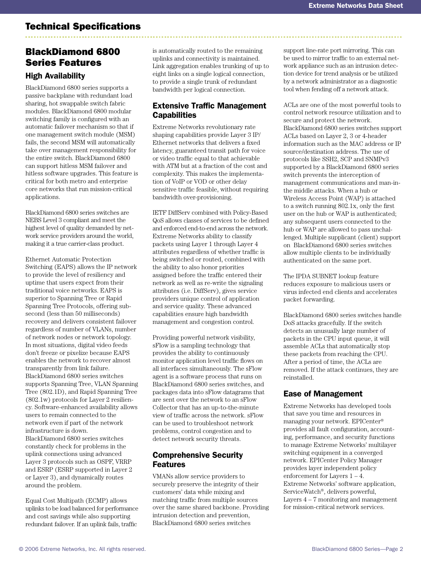# Technical Specifications

# BlackDiamond 6800 Series Features

### High Availability

BlackDiamond 6800 series supports a passive backplane with redundant load sharing, hot swappable switch fabric modules. BlackDiamond 6800 modular switching family is configured with an automatic failover mechanism so that if one management switch module (MSM) fails, the second MSM will automatically take over management responsibility for the entire switch. BlackDiamond 6800 can support hitless MSM failover and hitless software upgrades. This feature is critical for both metro and enterprise core networks that run mission-critical applications.

BlackDiamond 6800 series switches are NEBS Level 3 compliant and meet the highest level of quality demanded by network service providers around the world, making it a true carrier-class product.

Ethernet Automatic Protection Switching (EAPS) allows the IP network to provide the level of resiliency and uptime that users expect from their traditional voice networks. EAPS is superior to Spanning Tree or Rapid Spanning Tree Protocols, offering subsecond (less than 50 milliseconds) recovery and delivers consistent failover regardless of number of VLANs, number of network nodes or network topology. In most situations, digital video feeds don't freeze or pixelize because EAPS enables the network to recover almost transparently from link failure. BlackDiamond 6800 series switches supports Spanning Tree, VLAN Spanning Tree (802.1D), and Rapid Spanning Tree (802.1w) protocols for Layer 2 resiliency. Software-enhanced availability allows users to remain connected to the network even if part of the network infrastructure is down. BlackDiamond 6800 series switches constantly check for problems in the uplink connections using advanced Layer 3 protocols such as OSPF, VRRP and ESRP (ESRP supported in Layer 2 or Layer 3), and dynamically routes around the problem.

Equal Cost Multipath (ECMP) allows uplinks to be load balanced for performance and cost savings while also supporting redundant failover. If an uplink fails, traffic

is automatically routed to the remaining uplinks and connectivity is maintained. Link aggregation enables trunking of up to eight links on a single logical connection, to provide a single trunk of redundant bandwidth per logical connection.

### Extensive Traffic Management **Capabilities**

Extreme Networks revolutionary rate shaping capabilities provide Layer 3 IP/ Ethernet networks that delivers a fixed latency, guaranteed transit path for voice or video traffic equal to that achievable with ATM but at a fraction of the cost and complexity. This makes the implementation of VoIP or VOD or other delay sensitive traffic feasible, without requiring bandwidth over-provisioning.

IETF DiffServ combined with Policy-Based QoS allows classes of services to be defined and enforced end-to-end across the network. Extreme Networks ability to classify packets using Layer 1 through Layer 4 attributes regardless of whether traffic is being switched or routed, combined with the ability to also honor priorities assigned before the traffic entered their network as well as re-write the signaling attributes (i.e. DiffServ), gives service providers unique control of application and service quality. These advanced capabilities ensure high bandwidth management and congestion control.

Providing powerful network visibility, sFlow is a sampling technology that provides the ability to continuously monitor application level traffic flows on all interfaces simultaneously. The sFlow agent is a software process that runs on BlackDiamond 6800 series switches, and packages data into sFlow datagrams that are sent over the network to an sFlow Collector that has an up-to-the-minute view of traffic across the network. sFlow can be used to troubleshoot network problems, control congestion and to detect network security threats.

### Comprehensive Security **Features**

VMANs allow service providers to securely preserve the integrity of their customers' data while mixing and matching traffic from multiple sources over the same shared backbone. Providing intrusion detection and prevention, BlackDiamond 6800 series switches

support line-rate port mirroring. This can be used to mirror traffic to an external network appliance such as an intrusion detection device for trend analysis or be utilized by a network administrator as a diagnostic tool when fending off a network attack.

ACLs are one of the most powerful tools to control network resource utilization and to secure and protect the network. BlackDiamond 6800 series switches support ACLs based on Layer 2, 3 or 4-header information such as the MAC address or IP source/destination address. The use of protocols like SSH2, SCP and SNMPv3 supported by a BlackDiamond 6800 series switch prevents the interception of management communications and man-inthe middle attacks. When a hub or Wireless Access Point (WAP) is attached to a switch running 802.1x, only the first user on the hub or WAP is authenticated; any subsequent users connected to the hub or WAP are allowed to pass unchallenged. Multiple supplicant (client) support on BlackDiamond 6800 series switches allow multiple clients to be individually authenticated on the same port.

The IPDA SUBNET lookup feature reduces exposure to malicious users or virus infected end clients and accelerates packet forwarding.

BlackDiamond 6800 series switches handle DoS attacks gracefully. If the switch detects an unusually large number of packets in the CPU input queue, it will assemble ACLs that automatically stop these packets from reaching the CPU. After a period of time, the ACLs are removed. If the attack continues, they are reinstalled.

### Ease of Management

Extreme Networks has developed tools that save you time and resources in managing your network. EPICenter® provides all fault configuration, accounting, performance, and security functions to manage Extreme Networks' multilayer switching equipment in a converged network. EPICenter Policy Manager provides layer independent policy enforcement for Layers 1 – 4. Extreme Networks' software application, ServiceWatch®, delivers powerful, Layers 4 – 7 monitoring and management for mission-critical network services.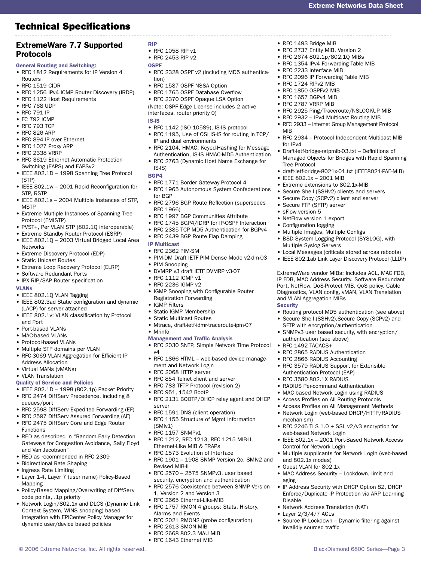# Technical Specifications

### ExtremeWare 7.7 Supported

#### Protocols

General Routing and Switching:

- RFC 1812 Requirements for IP Version 4 Routers
- RFC 1519 CIDR
- RFC 1256 IPv4 ICMP Router Discovery (IRDP)
- RFC 1122 Host Requirements
- RFC 768 UDP
- RFC 791 IP
- FC 792 ICMP
- RFC 793 TCP
- RFC 826 ARP
- RFC 894 IP over Ethernet
- RFC 1027 Proxy ARP
- RFC 2338 VRRP
- RFC 3619 Ethernet Automatic Protection Switching (EAPS) and EAPSv2
- IEEE 802.1D 1998 Spanning Tree Protocol (STP)
- IEEE 802.1w 2001 Rapid Reconfiguration for STP, RSTP
- IEEE 802.1s 2004 Multiple Instances of STP, MSTP
- Extreme Multiple Instances of Spanning Tree Protocol (EMISTP)
- PVST+, Per VLAN STP (802.1Q interoperable)
- Extreme Standby Router Protocol (ESRP)
- IEEE 802.1Q 2003 Virtual Bridged Local Area **Networks**
- Extreme Discovery Protocol (EDP)
- Static Unicast Routes
- Extreme Loop Recovery Protocol (ELRP)
- Software Redundant Ports
- IPX RIP/SAP Router specification

#### VLANs

- IEEE 802.1Q VLAN Tagging
- IEEE 802.3ad Static configuration and dynamic (LACP) for server attached
- IEEE 802.1v: VLAN classification by Protocol and Port
- Port-based VLANs
- MAC-based VLANs
- Protocol-based VLANs
- Multiple STP domains per VLAN
- RFC-3069 VLAN Aggregation for Efficient IP Address Allocation
- Virtual MANs (vMANs)
- VLAN Translation
- Quality of Service and Policies
- IEEE 802.1D 1998 (802.1p) Packet Priority
- RFC 2474 DiffServ Precedence, including 8 queues/port
- RFC 2598 DiffServ Expedited Forwarding (EF)
- RFC 2597 DiffServ Assured Forwarding (AF)
- RFC 2475 DiffServ Core and Edge Router Functions
- RED as described in "Random Early Detection Gateways for Congestion Avoidance, Sally Floyd and Van Jacobson"
- RED as recommended in RFC 2309
- Bidirectional Rate Shaping
- Ingress Rate Limiting
- Layer 1-4, Layer 7 (user name) Policy-Based Mapping
- Policy-Based Mapping/Overwriting of DiffServ code points, .1p priority
- Network Login/802.1x and DLCS (Dynamic Link Context System, WINS snooping) based integration with EPICenter Policy Manager for dynamic user/device based policies
- RIP
- RFC 1058 RIP v1
- RFC 2453 RIP v2
- **OSPF**
- RFC 2328 OSPF v2 (including MD5 authentication)

Extreme Networks Data Sheet

• RFC 1493 Bridge MIB • RFC 2737 Entity MIB, Version 2 RFC 2674 802.1p/802.1Q MIBs • • RFC 1354 IPv4 Forwarding Table MIB

• RFC 2233 Interface MIB

• RFC 1724 RIPv2 MIB • RFC 1850 OSPFv2 MIB • RFC 1657 BGPv4 MIB • RFC 2787 VRRP MIB

MIB

•

• • •

•

•

for IPv4

Tree Protocol

• IEEE 802.1x - 2001 MIB

• Secure FTP (SFTP) server • sFlow version 5 • NetFlow version 1 export • Configuration logging

Multiple Syslog Servers

and VLAN Aggregation MIBs

authentication (see above) RFC 1492 TACACS+

• RFC 2865 RADIUS Authentication • RFC 2866 RADIUS Accounting

Authentication Protocol (EAP) RFC 3580 802.1X RADIUS • RADIUS Per-command Authentication MAC based Network Login using RADIUS • Access Profiles on All Routing Protocols • Access Profiles on All Management Methods Network Login (web-based DHCP/HTTP/RADIUS

web-based Network Login

Control for Network Login

and 802.1x modes) • Guest VLAN for 802.1x

Layer 2/3/4/7 ACLs •

invalidly sourced traffic

mechanism)

aging

Disable

• RFC 3579 RADIUS Support for Extensible

RFC 2246 TLS 1.0 + SSL v2/v3 encryption for

• IEEE 802.1x - 2001 Port-Based Network Access

• MAC Address Security - Lockdown, limit and

• Network Address Translation (NAT)

Multiple supplicants for Network Login (web-based

IP Address Security with DHCP Option 82, DHCP Enforce/Duplicate IP Protection via ARP Learning

• Source IP Lockdown - Dynamic filtering against

**Security** 

•

• •

•

•

•

•

Extreme extensions to 802.1x-MIB Secure Shell (SSHv2) clients and servers Secure Copy (SCPv2) client and server

Multiple Images, Multiple Configs

• BSD System Logging Protocol (SYSLOG), with

Local Messages (criticals stored across reboots) • IEEE 802.1ab Link Layer Discovery Protocol (LLDP) ExtremeWare vendor MIBs: Includes ACL, MAC FDB, IP FDB, MAC Address Security, Software Redundant Port, NetFlow, DoS-Protect MIB, QoS policy, Cable Diagnostics, VLAN config, vMAN, VLAN Translation

• Routing protocol MD5 authentication (see above) • Secure Shell (SSHv2), Secure Copy (SCPv2) and SFTP with encryption/authentication • SNMPv3 user based security, with encryption/

• RFC 2096 IP Forwarding Table MIB

• RFC 2925 Ping/Traceroute/NSLOOKUP MIB • RFC 2932 - IPv4 Multicast Routing MIB • RFC 2933 - Internet Group Management Protocol

• RFC 2934 - Protocol Independent Multicast MIB

Draft-ietf-bridge-rstpmib-03.txt – Definitions of Managed Objects for Bridges with Rapid Spanning

• draft-ietf-bridge-8021x-01.txt (IEEE8021-PAE-MIB)

- RFC 1587 OSPF NSSA Option
- RFC 1765 OSPF Database Overflow

• RFC 2370 OSPF Opaque LSA Option (Note: OSPF Edge License includes 2 active interfaces, router priority 0)

- IS-IS
- RFC 1142 (ISO 10589), IS-IS protocol
- RFC 1195, Use of OSI IS-IS for routing in TCP/ IP and dual environments
- RFC 2104, HMAC: Keyed-Hashing for Message Authentication, IS-IS HMAC-MD5 Authentication
- RFC 2763 (Dynamic Host Name Exchange for IS-IS)

BGP4

- RFC 1771 Border Gateway Protocol 4
- RFC 1965 Autonomous System Confederations for BGP
- RFC 2796 BGP Route Reflection (supersedes RFC 1966)
- RFC 1997 BGP Communities Attribute
- RFC 1745 BGP4/IDRP for IP-OSPF Interaction
- RFC 2385 TCP MD5 Authentication for BGPv4
- RFC 2439 BGP Route Flap Damping
- IP Multicast
- RFC 2362 PIM-SM
- PIM-DM Draft IETF PIM Dense Mode v2-dm-03
- PIM Snooping
- DVMRP v3 draft IETF DVMRP v3-07
- RFC 1112 IGMP v1
- RFC 2236 IGMP v2
- IGMP Snooping with Configurable Router Registration Forwarding
- IGMP Filters •
- Static IGMP Membership
- Static Multicast Routes •
- Mtrace, draft-ietf-idmr-traceroute-ipm-07
- Mrinfo
- Management and Traffic Analysis
- RFC 2030 SNTP, Simple Network Time Protocol v4
- RFC 1866 HTML web-based device management and Network Login
- RFC 2068 HTTP server
- RFC 854 Telnet client and server
- RFC 783 TFTP Protocol (revision 2)
- RFC 951, 1542 BootP •
- RFC 2131 BOOTP/DHCP relay agent and DHCP server

© 2006 Extreme Networks, Inc. All rights reserved. BlackDiamond 6800 Series—Page 3

- RFC 1591 DNS (client operation)
- RFC 1155 Structure of Mgmt Information (SMIv1)
- RFC 1157 SNMPv1

Revised MIB-II

• •

RFC 1212, RFC 1213, RFC 1215 MIB-II, • Ethernet-Like MIB & TRAPs

RFC 2570 – 2575 SNMPv3, user based security, encryption and authentication RFC 2576 Coexistence between SNMP Version

• RFC 1757 RMON 4 groups: Stats, History,

• RFC 2021 RMON2 (probe configuration)

• RFC 1573 Evolution of Interface • RFC 1901 - 1908 SNMP Version 2c, SMIv2 and

1, Version 2 and Version 3 • RFC 2665 Ethernet-Like-MIB

Alarms and Events

• RFC 2613 SMON MIB • RFC 2668 802.3 MAU MIB • RFC 1643 Ethernet MIB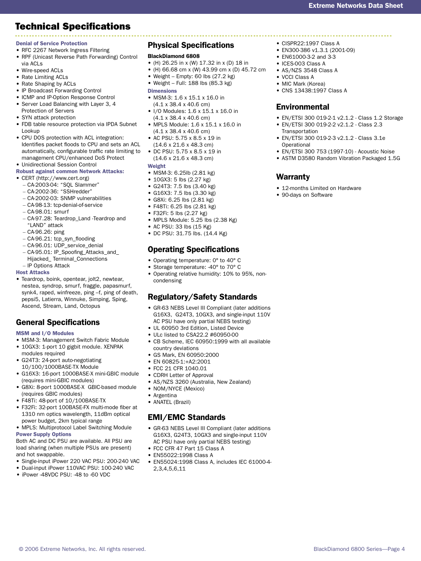# Technical Specifications

#### Denial of Service Protection

- RFC 2267 Network Ingress Filtering
- RPF (Unicast Reverse Path Forwarding) Control via ACLs
- Wire-speed ACLs •
- Rate Limiting ACLs
- Rate Shaping by ACLs
- IP Broadcast Forwarding Control
- ICMP and IP-Option Response Control • Server Load Balancing with Layer 3, 4 Protection of Servers
- SYN attack protection
- FDB table resource protection via IPDA Subnet Lookup
- CPU DOS protection with ACL integration: Identifies packet floods to CPU and sets an ACL automatically, configurable traffic rate limiting to management CPU/enhanced DoS Protect Unidirectional Session Control •

### Robust against common Network Attacks:

- CERT (http://www.cert.org)
- CA-2003-04: "SQL Slammer" –
- CA-2002-36: "SSHredder" –
- CA-2002-03: SNMP vulnerabilities –
- CA-98-13: tcp-denial-of-service –
- CA-98.01: smurf –
- CA-97.28: Teardrop\_Land -Teardrop and "LAND" attack
- CA-96.26: ping –
- CA-96.21: tcp\_syn\_flooding –
- CA-96.01: UDP\_service\_denial –
- CA-95.01: IP\_Spoofing\_Attacks\_and\_ Hijacked\_ Terminal\_Connections
- IP Options Attack

#### Host Attacks

Teardrop, boink, opentear, jolt2, newtear, • nestea, syndrop, smurf, fraggle, papasmurf, synk4, raped, winfreeze, ping –f, ping of death, pepsi5, Latierra, Winnuke, Simping, Sping, Ascend, Stream, Land, Octopus

# General Specifications

#### MSM and I/O Modules

- MSM-3: Management Switch Fabric Module
- 10GX3: 1-port 10 gigbit module. XENPAK modules required
- G24T3: 24-port auto-negotiating 10/100/1000BASE-TX Module
- G16X3: 16-port 1000BASE-X mini-GBIC module (requires mini-GBIC modules)
- G8Xi: 8-port 1000BASE-X GBIC-based module (requires GBIC modules)
- F48Ti: 48-port of 10/100BASE-TX •
- F32Fi: 32-port 100BASE-FX multi-mode fiber at 1310 nm optics wavelength, 11dBm optical power budget, 2km typical range
- MPLS: Multiprotocol Label Switching Module Power Supply Options

Both AC and DC PSU are available. All PSU are load sharing (when multiple PSUs are present) and hot swappable.

- Single-input iPower 220 VAC PSU: 200-240 VAC
- Dual-input iPower 110VAC PSU: 100-240 VAC
- iPower -48VDC PSU: -48 to -60 VDC

#### Physical Specifications

#### BlackDiamond 6808

- (H) 26.25 in x (W) 17.32 in x (D) 18 in
- (H) 66.68 cm x (W) 43.99 cm x (D) 45.72 cm
- Weight Empty: 60 lbs  $(27.2 \text{ kg})$
- Weight Full: 188 lbs (85.3 kg) •
- **Dimensions**
- MSM-3: 1.6 x 15.1 x 16.0 in (4.1 x 38.4 x 40.6 cm)
- I/O Modules: 1.6 x 15.1 x 16.0 in (4.1 x 38.4 x 40.6 cm)
- MPLS Module: 1.6 x 15.1 x 16.0 in (4.1 x 38.4 x 40.6 cm)
- AC PSU: 5.75 x 8.5 x 19 in (14.6 x 21.6 x 48.3 cm)
- DC PSU: 5.75 x 8.5 x 19 in (14.6 x 21.6 x 48.3 cm)

#### Weight

- MSM-3: 6.25lb (2.81 kg)
- 10GX3: 5 lbs (2.27 kg)
- G24T3: 7.5 lbs (3.40 kg) •
- G16X3: 7.5 lbs (3.30 kg) •
- G8Xi: 6.25 lbs (2.81 kg) •
- F48Ti: 6.25 lbs (2.81 kg) •
- F32Fi: 5 lbs (2.27 kg) •
- MPLS Module: 5.25 lbs (2.38 Kg)
- AC PSU: 33 lbs (15 Kg)
- DC PSU: 31.75 lbs. (14.4 Kg)

# Operating Specifications

- Operating temperature: 0° to 40° C
- Storage temperature: -40° to 70° C
- Operating relative humidity: 10% to 95%, noncondensing

### Regulatory/Safety Standards

- GR-63 NEBS Level III Compliant (later additions G16X3, G24T3, 10GX3, and single-input 110V AC PSU have only partial NEBS testing)
- UL 60950 3rd Edition, Listed Device
- ULc listed to CSA22.2 #60950-00
- CB Scheme, IEC 60950:1999 with all available country deviations
- GS Mark, EN 60950:2000 •
- EN 60825-1:+A2:2001 •
- FCC 21 CFR 1040.01 •
- CDRH Letter of Approval
- AS/NZS 3260 (Australia, New Zealand)
- NOM/NYCE (Mexico)
- Argentina •
- ANATEL (Brazil)

### EMI/EMC Standards

- GR-63 NEBS Level III Compliant (later additions G16X3, G24T3, 10GX3 and single-input 110V AC PSU have only partial NEBS testing)
- FCC CFR 47 Part 15 Class A
- EN55022:1998 Class A •
- EN55024:1998 Class A, includes IEC 61000-4- 2,3,4,5,6,11

© 2006 Extreme Networks, Inc. All rights reserved. BlackDiamond 6800 Series—Page 4

#### • CISPR22:1997 Class A

- EN300-386 v1.3.1 (2001-09) •
- EN61000-3-2 and 3-3 •
- ICES-003 Class A
- AS/NZS 3548 Class A
- VCCI Class A

Warranty

• 90-days on Software

- MIC Mark (Korea)
- CNS 13438:1997 Class A •

#### Environmental

EN/ETSI 300 019-2-1 v2.1.2 - Class 1.2 Storage •

• ASTM D3580 Random Vibration Packaged 1.5G

- EN/ETSI 300 019-2-2 v2.1.2 Class 2.3 •
- **Transportation** EN/ETSI 300 019-2-3 v2.1.2 - Class 3.1e •
- Operational EN/ETSI 300 753 (1997-10) - Acoustic Noise •

• 12-months Limited on Hardware